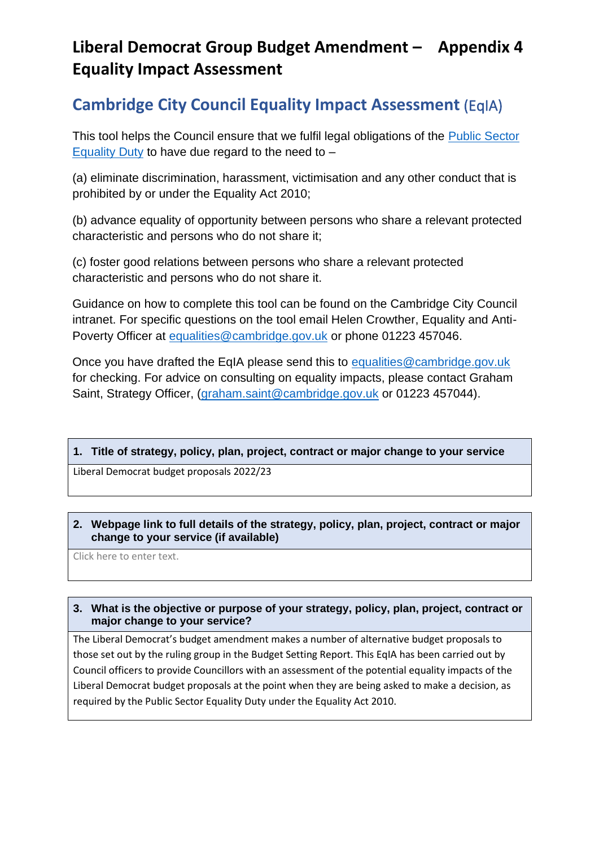# **Liberal Democrat Group Budget Amendment – Appendix 4 Equality Impact Assessment**

# **Cambridge City Council Equality Impact Assessment** (EqIA)

This tool helps the Council ensure that we fulfil legal obligations of the [Public Sector](https://www.gov.uk/government/publications/public-sector-equality-duty)  [Equality Duty](https://www.gov.uk/government/publications/public-sector-equality-duty) to have due regard to the need to  $-$ 

(a) eliminate discrimination, harassment, victimisation and any other conduct that is prohibited by or under the Equality Act 2010;

(b) advance equality of opportunity between persons who share a relevant protected characteristic and persons who do not share it;

(c) foster good relations between persons who share a relevant protected characteristic and persons who do not share it.

Guidance on how to complete this tool can be found on the Cambridge City Council intranet. For specific questions on the tool email Helen Crowther, Equality and Anti-Poverty Officer at [equalities@cambridge.gov.uk](mailto:equalities@cambridge.gov.uk) or phone 01223 457046.

Once you have drafted the EqIA please send this to [equalities@cambridge.gov.uk](mailto:equalities@cambridge.gov.uk) for checking. For advice on consulting on equality impacts, please contact Graham Saint, Strategy Officer, [\(graham.saint@cambridge.gov.uk](mailto:graham.saint@cambridge.gov.uk) or 01223 457044).

## **1. Title of strategy, policy, plan, project, contract or major change to your service**

Liberal Democrat budget proposals 2022/23

### **2. Webpage link to full details of the strategy, policy, plan, project, contract or major change to your service (if available)**

Click here to enter text.

## **3. What is the objective or purpose of your strategy, policy, plan, project, contract or major change to your service?**

The Liberal Democrat's budget amendment makes a number of alternative budget proposals to those set out by the ruling group in the Budget Setting Report. This EqIA has been carried out by Council officers to provide Councillors with an assessment of the potential equality impacts of the Liberal Democrat budget proposals at the point when they are being asked to make a decision, as required by the Public Sector Equality Duty under the Equality Act 2010.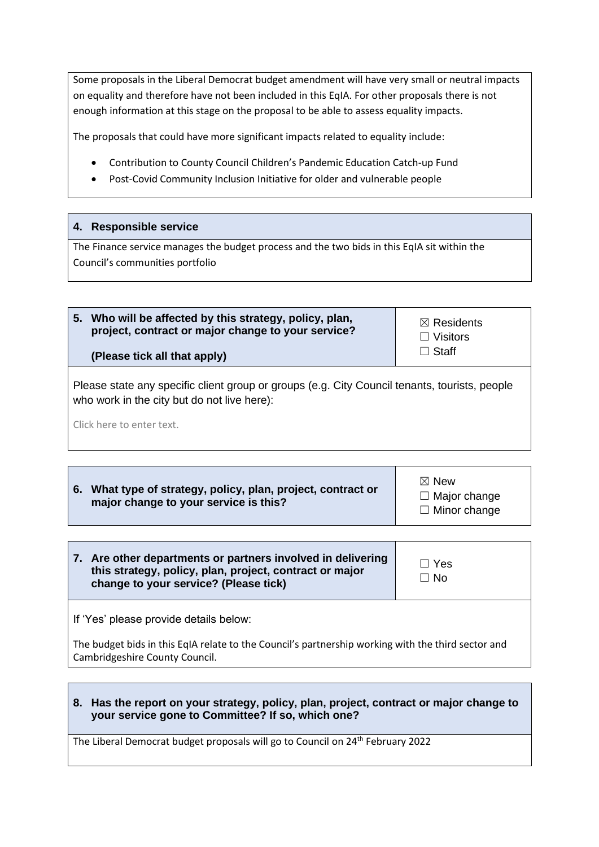Some proposals in the Liberal Democrat budget amendment will have very small or neutral impacts on equality and therefore have not been included in this EqIA. For other proposals there is not enough information at this stage on the proposal to be able to assess equality impacts.

The proposals that could have more significant impacts related to equality include:

- Contribution to County Council Children's Pandemic Education Catch-up Fund
- Post-Covid Community Inclusion Initiative for older and vulnerable people

| <b>Responsible service</b><br>4.7                                                                                                                |                                                                     |
|--------------------------------------------------------------------------------------------------------------------------------------------------|---------------------------------------------------------------------|
| The Finance service manages the budget process and the two bids in this EqIA sit within the<br>Council's communities portfolio                   |                                                                     |
|                                                                                                                                                  |                                                                     |
| Who will be affected by this strategy, policy, plan,<br>5.<br>project, contract or major change to your service?<br>(Please tick all that apply) | $\boxtimes$ Residents<br>Visitors<br>$\blacksquare$<br>$\Box$ Staff |

Please state any specific client group or groups (e.g. City Council tenants, tourists, people who work in the city but do not live here):

Click here to enter text.

**6. What type of strategy, policy, plan, project, contract or major change to your service is this?**

☒ New □ Major change □ Minor change

| 7. Are other departments or partners involved in delivering<br>this strategy, policy, plan, project, contract or major<br>change to your service? (Please tick) | $\Box$ Yes<br>$\Box$ No |
|-----------------------------------------------------------------------------------------------------------------------------------------------------------------|-------------------------|
|-----------------------------------------------------------------------------------------------------------------------------------------------------------------|-------------------------|

If 'Yes' please provide details below:

The budget bids in this EqIA relate to the Council's partnership working with the third sector and Cambridgeshire County Council.

**8. Has the report on your strategy, policy, plan, project, contract or major change to your service gone to Committee? If so, which one?**

The Liberal Democrat budget proposals will go to Council on 24th February 2022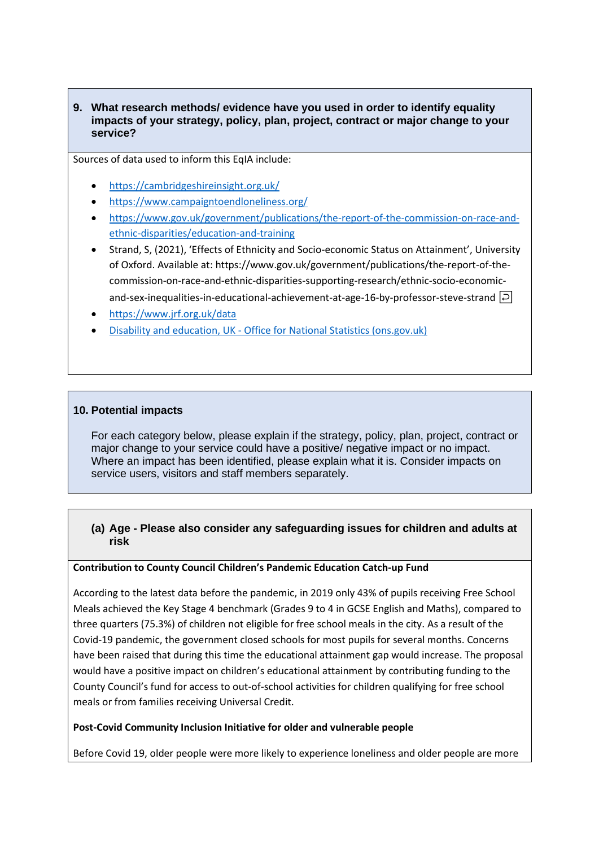### **9. What research methods/ evidence have you used in order to identify equality impacts of your strategy, policy, plan, project, contract or major change to your service?**

Sources of data used to inform this EqIA include:

- <https://cambridgeshireinsight.org.uk/>
- <https://www.campaigntoendloneliness.org/>
- [https://www.gov.uk/government/publications/the-report-of-the-commission-on-race-and](https://www.gov.uk/government/publications/the-report-of-the-commission-on-race-and-ethnic-disparities/education-and-training)[ethnic-disparities/education-and-training](https://www.gov.uk/government/publications/the-report-of-the-commission-on-race-and-ethnic-disparities/education-and-training)
- Strand, S, (2021), 'Effects of Ethnicity and Socio-economic Status on Attainment', University of Oxford. Available at: https://www.gov.uk/government/publications/the-report-of-thecommission-on-race-and-ethnic-disparities-supporting-research/ethnic-socio-economicand-sex-inequalities-in-educational-achievement-at-age-16-by-professor-steve-strand  $\overline{P}$
- <https://www.jrf.org.uk/data>
- Disability and education, UK [Office for National Statistics \(ons.gov.uk\)](https://www.ons.gov.uk/peoplepopulationandcommunity/healthandsocialcare/disability/bulletins/disabilityandeducationuk/2019)

#### **10. Potential impacts**

For each category below, please explain if the strategy, policy, plan, project, contract or major change to your service could have a positive/ negative impact or no impact. Where an impact has been identified, please explain what it is. Consider impacts on service users, visitors and staff members separately.

### **(a) Age - Please also consider any safeguarding issues for children and adults at risk**

#### **Contribution to County Council Children's Pandemic Education Catch-up Fund**

According to the latest data before the pandemic, in 2019 only 43% of pupils receiving Free School Meals achieved the Key Stage 4 benchmark (Grades 9 to 4 in GCSE English and Maths), compared to three quarters (75.3%) of children not eligible for free school meals in the city. As a result of the Covid-19 pandemic, the government closed schools for most pupils for several months. Concerns have been raised that during this time the educational attainment gap would increase. The proposal would have a positive impact on children's educational attainment by contributing funding to the County Council's fund for access to out-of-school activities for children qualifying for free school meals or from families receiving Universal Credit.

#### **Post-Covid Community Inclusion Initiative for older and vulnerable people**

Before Covid 19, older people were more likely to experience loneliness and older people are more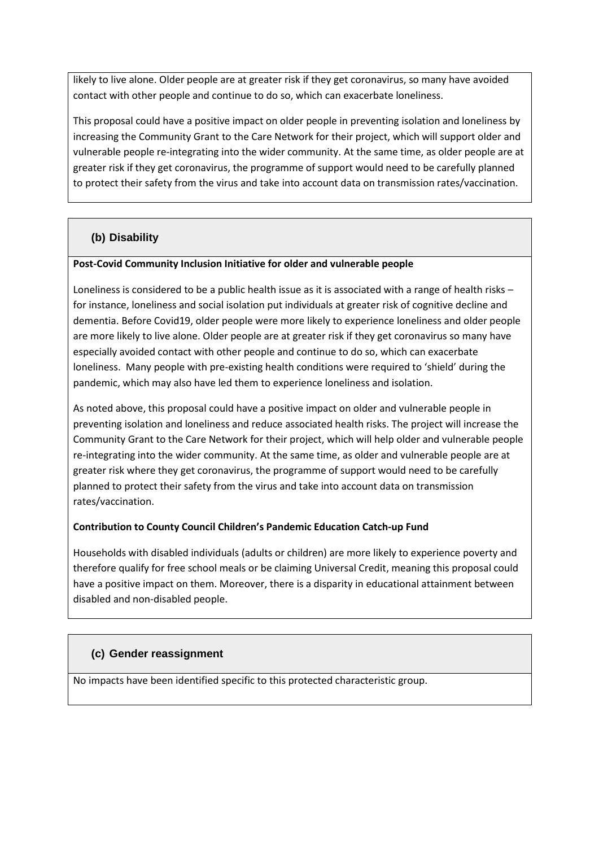likely to live alone. Older people are at greater risk if they get coronavirus, so many have avoided contact with other people and continue to do so, which can exacerbate loneliness.

This proposal could have a positive impact on older people in preventing isolation and loneliness by increasing the Community Grant to the Care Network for their project, which will support older and vulnerable people re-integrating into the wider community. At the same time, as older people are at greater risk if they get coronavirus, the programme of support would need to be carefully planned to protect their safety from the virus and take into account data on transmission rates/vaccination.

# **(b) Disability**

### **Post-Covid Community Inclusion Initiative for older and vulnerable people**

Loneliness is considered to be a public health issue as it is associated with a range of health risks – for instance, loneliness and social isolation put individuals at greater risk of cognitive decline and dementia. Before Covid19, older people were more likely to experience loneliness and older people are more likely to live alone. Older people are at greater risk if they get coronavirus so many have especially avoided contact with other people and continue to do so, which can exacerbate loneliness. Many people with pre-existing health conditions were required to 'shield' during the pandemic, which may also have led them to experience loneliness and isolation.

As noted above, this proposal could have a positive impact on older and vulnerable people in preventing isolation and loneliness and reduce associated health risks. The project will increase the Community Grant to the Care Network for their project, which will help older and vulnerable people re-integrating into the wider community. At the same time, as older and vulnerable people are at greater risk where they get coronavirus, the programme of support would need to be carefully planned to protect their safety from the virus and take into account data on transmission rates/vaccination.

### **Contribution to County Council Children's Pandemic Education Catch-up Fund**

Households with disabled individuals (adults or children) are more likely to experience poverty and therefore qualify for free school meals or be claiming Universal Credit, meaning this proposal could have a positive impact on them. Moreover, there is a disparity in educational attainment between disabled and non-disabled people.

### **(c) Gender reassignment**

No impacts have been identified specific to this protected characteristic group.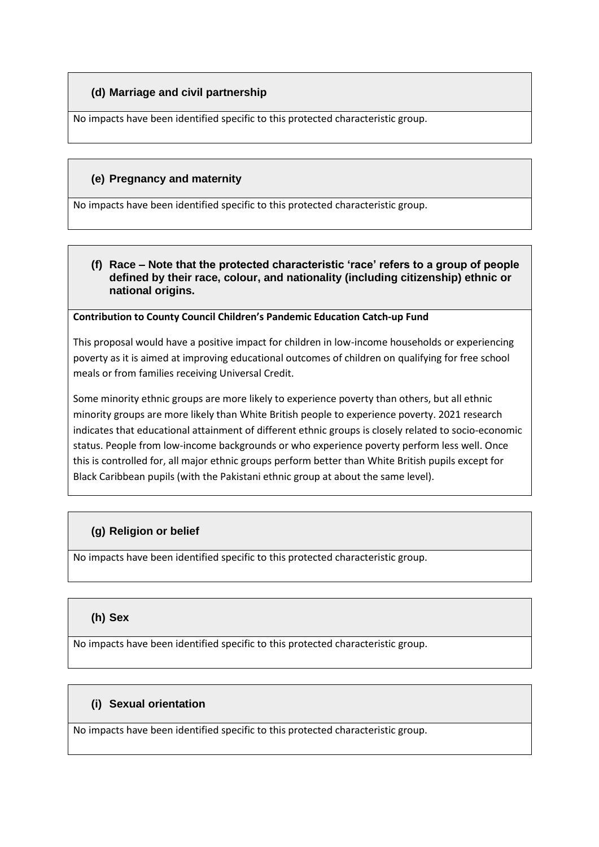# **(d) Marriage and civil partnership**

No impacts have been identified specific to this protected characteristic group.

## **(e) Pregnancy and maternity**

No impacts have been identified specific to this protected characteristic group.

### **(f) Race – Note that the protected characteristic 'race' refers to a group of people defined by their race, colour, and nationality (including citizenship) ethnic or national origins.**

#### **Contribution to County Council Children's Pandemic Education Catch-up Fund**

This proposal would have a positive impact for children in low-income households or experiencing poverty as it is aimed at improving educational outcomes of children on qualifying for free school meals or from families receiving Universal Credit.

Some minority ethnic groups are more likely to experience poverty than others, but all ethnic minority groups are more likely than White British people to experience poverty. 2021 research indicates that educational attainment of different ethnic groups is closely related to socio-economic status. People from low-income backgrounds or who experience poverty perform less well. Once this is controlled for, all major ethnic groups perform better than White British pupils except for Black Caribbean pupils (with the Pakistani ethnic group at about the same level).

## **(g) Religion or belief**

No impacts have been identified specific to this protected characteristic group.

## **(h) Sex**

No impacts have been identified specific to this protected characteristic group.

## **(i) Sexual orientation**

No impacts have been identified specific to this protected characteristic group.